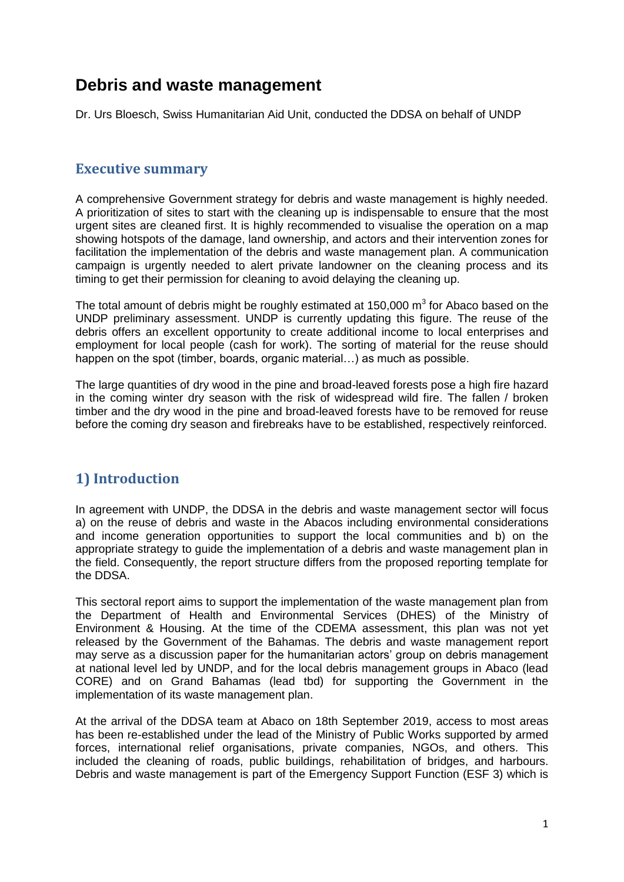# **Debris and waste management**

Dr. Urs Bloesch, Swiss Humanitarian Aid Unit, conducted the DDSA on behalf of UNDP

### **Executive summary**

A comprehensive Government strategy for debris and waste management is highly needed. A prioritization of sites to start with the cleaning up is indispensable to ensure that the most urgent sites are cleaned first. It is highly recommended to visualise the operation on a map showing hotspots of the damage, land ownership, and actors and their intervention zones for facilitation the implementation of the debris and waste management plan. A communication campaign is urgently needed to alert private landowner on the cleaning process and its timing to get their permission for cleaning to avoid delaying the cleaning up.

The total amount of debris might be roughly estimated at 150,000  $m^3$  for Abaco based on the UNDP preliminary assessment. UNDP is currently updating this figure. The reuse of the debris offers an excellent opportunity to create additional income to local enterprises and employment for local people (cash for work). The sorting of material for the reuse should happen on the spot (timber, boards, organic material…) as much as possible.

The large quantities of dry wood in the pine and broad-leaved forests pose a high fire hazard in the coming winter dry season with the risk of widespread wild fire. The fallen / broken timber and the dry wood in the pine and broad-leaved forests have to be removed for reuse before the coming dry season and firebreaks have to be established, respectively reinforced.

# **1) Introduction**

In agreement with UNDP, the DDSA in the debris and waste management sector will focus a) on the reuse of debris and waste in the Abacos including environmental considerations and income generation opportunities to support the local communities and b) on the appropriate strategy to guide the implementation of a debris and waste management plan in the field. Consequently, the report structure differs from the proposed reporting template for the DDSA.

This sectoral report aims to support the implementation of the waste management plan from the Department of Health and Environmental Services (DHES) of the Ministry of Environment & Housing. At the time of the CDEMA assessment, this plan was not yet released by the Government of the Bahamas. The debris and waste management report may serve as a discussion paper for the humanitarian actors' group on debris management at national level led by UNDP, and for the local debris management groups in Abaco (lead CORE) and on Grand Bahamas (lead tbd) for supporting the Government in the implementation of its waste management plan.

At the arrival of the DDSA team at Abaco on 18th September 2019, access to most areas has been re-established under the lead of the Ministry of Public Works supported by armed forces, international relief organisations, private companies, NGOs, and others. This included the cleaning of roads, public buildings, rehabilitation of bridges, and harbours. Debris and waste management is part of the Emergency Support Function (ESF 3) which is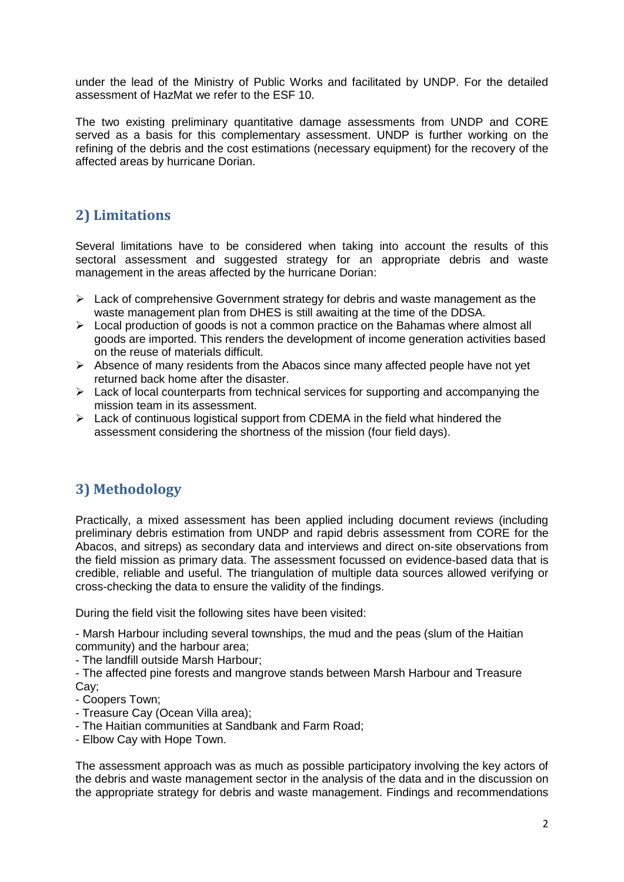under the lead of the Ministry of Public Works and facilitated by UNDP. For the detailed assessment of HazMat we refer to the ESF 10.

The two existing preliminary quantitative damage assessments from UNDP and CORE served as a basis for this complementary assessment. UNDP is further working on the refining of the debris and the cost estimations (necessary equipment) for the recovery of the affected areas by hurricane Dorian.

# **2) Limitations**

Several limitations have to be considered when taking into account the results of this sectoral assessment and suggested strategy for an appropriate debris and waste management in the areas affected by the hurricane Dorian:

- $\triangleright$  Lack of comprehensive Government strategy for debris and waste management as the waste management plan from DHES is still awaiting at the time of the DDSA.
- $\triangleright$  Local production of goods is not a common practice on the Bahamas where almost all goods are imported. This renders the development of income generation activities based on the reuse of materials difficult.
- $\triangleright$  Absence of many residents from the Abacos since many affected people have not yet returned back home after the disaster.
- $\triangleright$  Lack of local counterparts from technical services for supporting and accompanying the mission team in its assessment.
- $\triangleright$  Lack of continuous logistical support from CDEMA in the field what hindered the assessment considering the shortness of the mission (four field days).

# **3) Methodology**

Practically, a mixed assessment has been applied including document reviews (including preliminary debris estimation from UNDP and rapid debris assessment from CORE for the Abacos, and sitreps) as secondary data and interviews and direct on-site observations from the field mission as primary data. The assessment focussed on evidence-based data that is credible, reliable and useful. The triangulation of multiple data sources allowed verifying or cross-checking the data to ensure the validity of the findings.

During the field visit the following sites have been visited:

- Marsh Harbour including several townships, the mud and the peas (slum of the Haitian community) and the harbour area;

- The landfill outside Marsh Harbour;

- The affected pine forests and mangrove stands between Marsh Harbour and Treasure Cay;

- Coopers Town;

- Treasure Cay (Ocean Villa area);
- The Haitian communities at Sandbank and Farm Road;
- Elbow Cay with Hope Town.

The assessment approach was as much as possible participatory involving the key actors of the debris and waste management sector in the analysis of the data and in the discussion on the appropriate strategy for debris and waste management. Findings and recommendations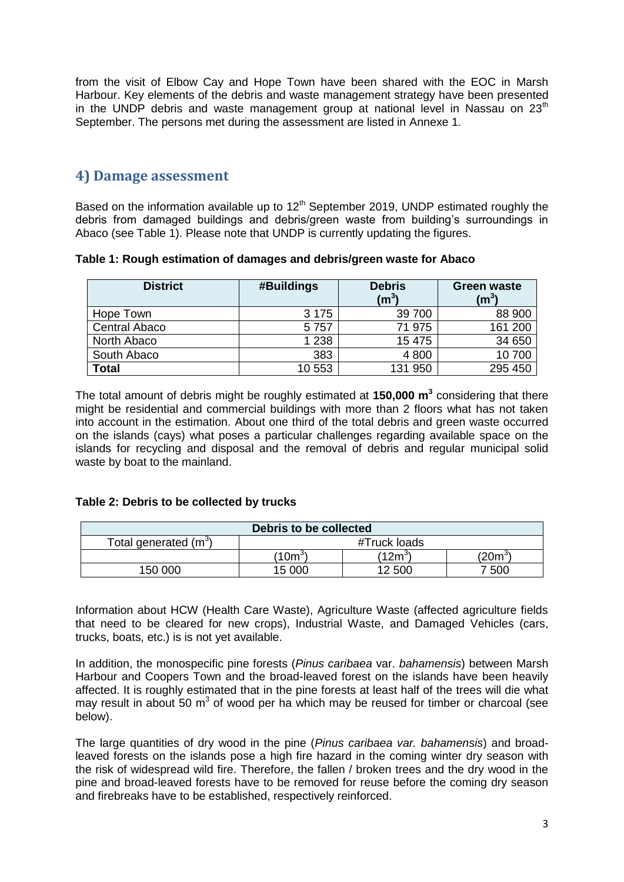from the visit of Elbow Cay and Hope Town have been shared with the EOC in Marsh Harbour. Key elements of the debris and waste management strategy have been presented in the UNDP debris and waste management group at national level in Nassau on  $23<sup>th</sup>$ September. The persons met during the assessment are listed in Annexe 1.

## **4) Damage assessment**

Based on the information available up to  $12<sup>th</sup>$  September 2019, UNDP estimated roughly the debris from damaged buildings and debris/green waste from building's surroundings in Abaco (see Table 1). Please note that UNDP is currently updating the figures.

**Table 1: Rough estimation of damages and debris/green waste for Abaco**

| <b>District</b>      | #Buildings | <b>Debris</b><br>$(\mathsf{m}^3)$ | Green waste<br>$(\mathsf{m}^3)$ |
|----------------------|------------|-----------------------------------|---------------------------------|
| Hope Town            | 3 1 7 5    | 39 700                            | 88 900                          |
| <b>Central Abaco</b> | 5757       | 71 975                            | 161 200                         |
| North Abaco          | 1 2 3 8    | 15 4 7 5                          | 34 650                          |
| South Abaco          | 383        | 4800                              | 10700                           |
| <b>Total</b>         | 10 553     | 131 950                           | 295 450                         |

The total amount of debris might be roughly estimated at **150,000 m<sup>3</sup>** considering that there might be residential and commercial buildings with more than 2 floors what has not taken into account in the estimation. About one third of the total debris and green waste occurred on the islands (cays) what poses a particular challenges regarding available space on the islands for recycling and disposal and the removal of debris and regular municipal solid waste by boat to the mainland.

### **Table 2: Debris to be collected by trucks**

| Debris to be collected            |                 |              |          |
|-----------------------------------|-----------------|--------------|----------|
| Total generated (m <sup>3</sup> ) |                 | #Truck loads |          |
|                                   | 10 <sup>3</sup> | $(12m^3)$    | $'20m^3$ |
| 150 000                           | 15 000          | 12 500       | 7 500    |

Information about HCW (Health Care Waste), Agriculture Waste (affected agriculture fields that need to be cleared for new crops), Industrial Waste, and Damaged Vehicles (cars, trucks, boats, etc.) is is not yet available.

In addition, the monospecific pine forests (*Pinus caribaea* var. *bahamensis*) between Marsh Harbour and Coopers Town and the broad-leaved forest on the islands have been heavily affected. It is roughly estimated that in the pine forests at least half of the trees will die what may result in about 50  $m<sup>3</sup>$  of wood per ha which may be reused for timber or charcoal (see below).

The large quantities of dry wood in the pine (*Pinus caribaea var. bahamensis*) and broadleaved forests on the islands pose a high fire hazard in the coming winter dry season with the risk of widespread wild fire. Therefore, the fallen / broken trees and the dry wood in the pine and broad-leaved forests have to be removed for reuse before the coming dry season and firebreaks have to be established, respectively reinforced.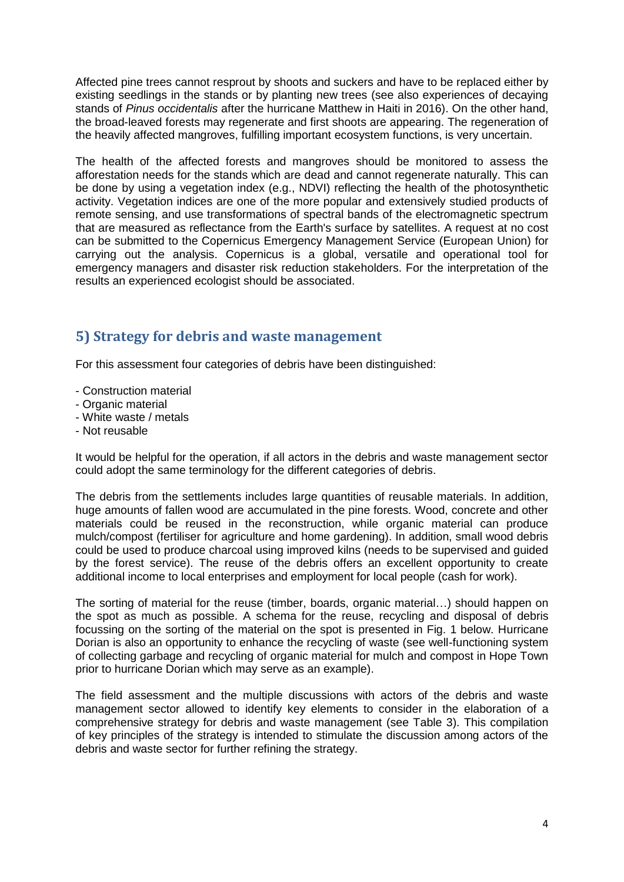Affected pine trees cannot resprout by shoots and suckers and have to be replaced either by existing seedlings in the stands or by planting new trees (see also experiences of decaying stands of *Pinus occidentalis* after the hurricane Matthew in Haiti in 2016). On the other hand, the broad-leaved forests may regenerate and first shoots are appearing. The regeneration of the heavily affected mangroves, fulfilling important ecosystem functions, is very uncertain.

The health of the affected forests and mangroves should be monitored to assess the afforestation needs for the stands which are dead and cannot regenerate naturally. This can be done by using a vegetation index (e.g., NDVI) reflecting the health of the photosynthetic activity. Vegetation indices are one of the more popular and extensively studied products of remote sensing, and use transformations of spectral bands of the electromagnetic spectrum that are measured as reflectance from the Earth's surface by satellites. A request at no cost can be submitted to the Copernicus Emergency Management Service (European Union) for carrying out the analysis. Copernicus is a global, versatile and operational tool for emergency managers and disaster risk reduction stakeholders. For the interpretation of the results an experienced ecologist should be associated.

## **5) Strategy for debris and waste management**

For this assessment four categories of debris have been distinguished:

- Construction material
- Organic material
- White waste / metals
- Not reusable

It would be helpful for the operation, if all actors in the debris and waste management sector could adopt the same terminology for the different categories of debris.

The debris from the settlements includes large quantities of reusable materials. In addition, huge amounts of fallen wood are accumulated in the pine forests. Wood, concrete and other materials could be reused in the reconstruction, while organic material can produce mulch/compost (fertiliser for agriculture and home gardening). In addition, small wood debris could be used to produce charcoal using improved kilns (needs to be supervised and guided by the forest service). The reuse of the debris offers an excellent opportunity to create additional income to local enterprises and employment for local people (cash for work).

The sorting of material for the reuse (timber, boards, organic material…) should happen on the spot as much as possible. A schema for the reuse, recycling and disposal of debris focussing on the sorting of the material on the spot is presented in Fig. 1 below. Hurricane Dorian is also an opportunity to enhance the recycling of waste (see well-functioning system of collecting garbage and recycling of organic material for mulch and compost in Hope Town prior to hurricane Dorian which may serve as an example).

The field assessment and the multiple discussions with actors of the debris and waste management sector allowed to identify key elements to consider in the elaboration of a comprehensive strategy for debris and waste management (see Table 3). This compilation of key principles of the strategy is intended to stimulate the discussion among actors of the debris and waste sector for further refining the strategy.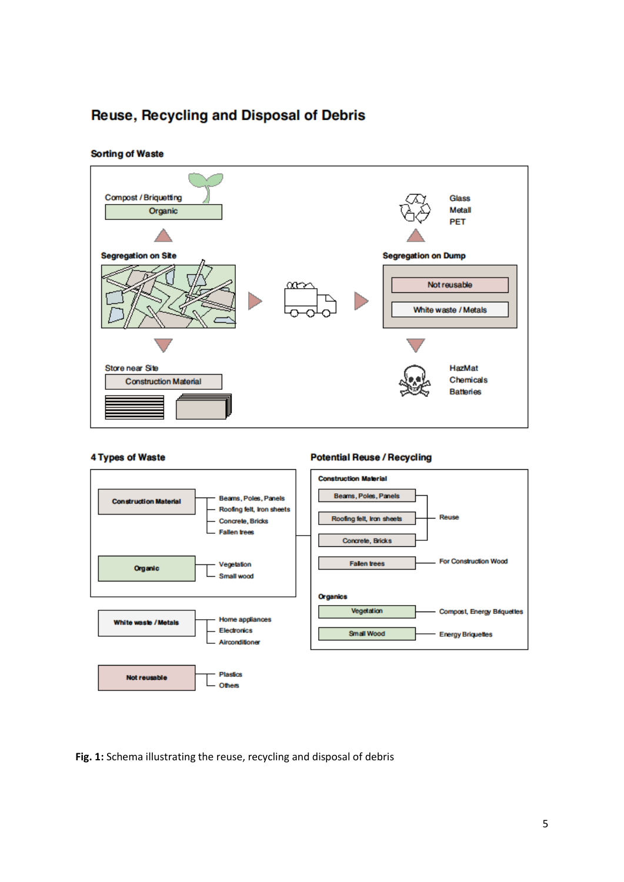



#### **Sorting of Waste**

#### 4 Types of Waste

#### **Potential Reuse / Recycling**



**Fig. 1:** Schema illustrating the reuse, recycling and disposal of debris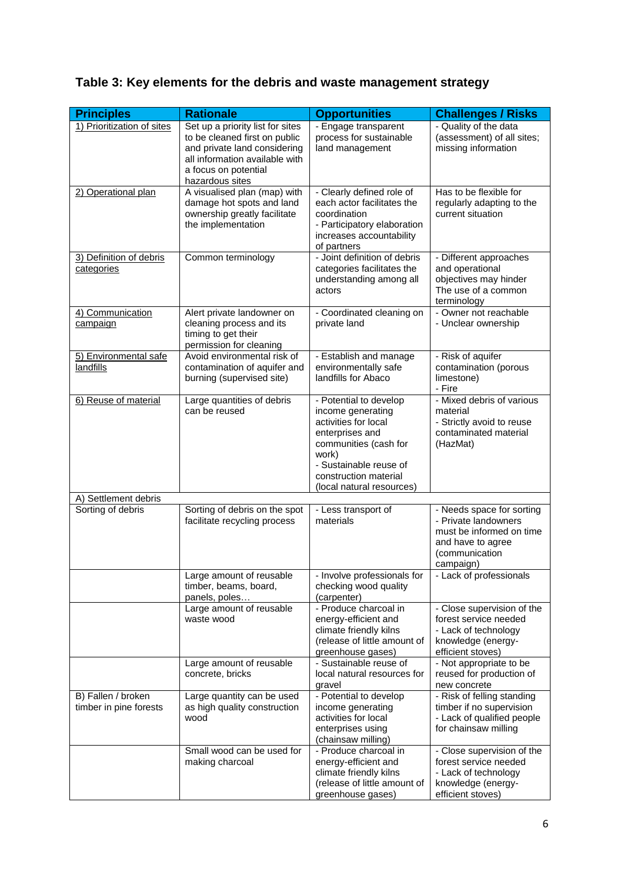# **Table 3: Key elements for the debris and waste management strategy**

| <b>Principles</b>            | <b>Rationale</b>                                       | <b>Opportunities</b>                          | <b>Challenges / Risks</b>                           |
|------------------------------|--------------------------------------------------------|-----------------------------------------------|-----------------------------------------------------|
| 1) Prioritization of sites   | Set up a priority list for sites                       | - Engage transparent                          | - Quality of the data                               |
|                              | to be cleaned first on public                          | process for sustainable                       | (assessment) of all sites;                          |
|                              | and private land considering                           | land management                               | missing information                                 |
|                              | all information available with<br>a focus on potential |                                               |                                                     |
|                              | hazardous sites                                        |                                               |                                                     |
| 2) Operational plan          | A visualised plan (map) with                           | - Clearly defined role of                     | Has to be flexible for                              |
|                              | damage hot spots and land                              | each actor facilitates the                    | regularly adapting to the                           |
|                              | ownership greatly facilitate                           | coordination                                  | current situation                                   |
|                              | the implementation                                     | - Participatory elaboration                   |                                                     |
|                              |                                                        | increases accountability                      |                                                     |
|                              |                                                        | of partners                                   |                                                     |
| 3) Definition of debris      | Common terminology                                     | - Joint definition of debris                  | - Different approaches                              |
| categories                   |                                                        | categories facilitates the                    | and operational                                     |
|                              |                                                        | understanding among all                       | objectives may hinder                               |
|                              |                                                        | actors                                        | The use of a common                                 |
|                              |                                                        |                                               | terminology                                         |
| 4) Communication<br>campaign | Alert private landowner on<br>cleaning process and its | - Coordinated cleaning on<br>private land     | - Owner not reachable<br>- Unclear ownership        |
|                              | timing to get their                                    |                                               |                                                     |
|                              | permission for cleaning                                |                                               |                                                     |
| 5) Environmental safe        | Avoid environmental risk of                            | - Establish and manage                        | - Risk of aquifer                                   |
| landfills                    | contamination of aquifer and                           | environmentally safe                          | contamination (porous                               |
|                              | burning (supervised site)                              | landfills for Abaco                           | limestone)                                          |
|                              |                                                        |                                               | - Fire                                              |
| 6) Reuse of material         | Large quantities of debris                             | - Potential to develop                        | - Mixed debris of various                           |
|                              | can be reused                                          | income generating                             | material                                            |
|                              |                                                        | activities for local                          | - Strictly avoid to reuse                           |
|                              |                                                        | enterprises and                               | contaminated material                               |
|                              |                                                        | communities (cash for                         | (HazMat)                                            |
|                              |                                                        | work)                                         |                                                     |
|                              |                                                        | - Sustainable reuse of                        |                                                     |
|                              |                                                        | construction material                         |                                                     |
| A) Settlement debris         |                                                        | (local natural resources)                     |                                                     |
| Sorting of debris            | Sorting of debris on the spot                          | - Less transport of                           | - Needs space for sorting                           |
|                              | facilitate recycling process                           | materials                                     | - Private landowners                                |
|                              |                                                        |                                               | must be informed on time                            |
|                              |                                                        |                                               | and have to agree                                   |
|                              |                                                        |                                               | (communication                                      |
|                              |                                                        |                                               | campaign)                                           |
|                              | Large amount of reusable                               | - Involve professionals for                   | - Lack of professionals                             |
|                              | timber, beams, board,                                  | checking wood quality                         |                                                     |
|                              | panels, poles                                          | (carpenter)                                   |                                                     |
|                              | Large amount of reusable<br>waste wood                 | - Produce charcoal in<br>energy-efficient and | - Close supervision of the<br>forest service needed |
|                              |                                                        | climate friendly kilns                        | - Lack of technology                                |
|                              |                                                        | (release of little amount of                  | knowledge (energy-                                  |
|                              |                                                        | greenhouse gases)                             | efficient stoves)                                   |
|                              | Large amount of reusable                               | - Sustainable reuse of                        | - Not appropriate to be                             |
|                              | concrete, bricks                                       | local natural resources for                   | reused for production of                            |
|                              |                                                        | gravel                                        | new concrete                                        |
| B) Fallen / broken           | Large quantity can be used                             | - Potential to develop                        | - Risk of felling standing                          |
| timber in pine forests       | as high quality construction                           | income generating                             | timber if no supervision                            |
|                              | wood                                                   | activities for local                          | - Lack of qualified people                          |
|                              |                                                        | enterprises using                             | for chainsaw milling                                |
|                              |                                                        | (chainsaw milling)                            |                                                     |
|                              | Small wood can be used for<br>making charcoal          | - Produce charcoal in<br>energy-efficient and | - Close supervision of the<br>forest service needed |
|                              |                                                        | climate friendly kilns                        | - Lack of technology                                |
|                              |                                                        | (release of little amount of                  | knowledge (energy-                                  |
|                              |                                                        | greenhouse gases)                             | efficient stoves)                                   |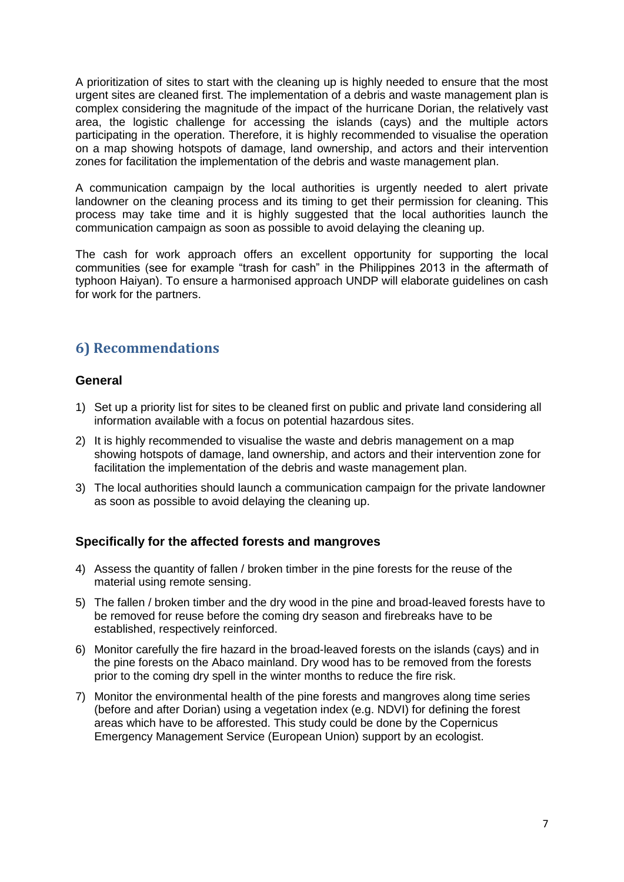A prioritization of sites to start with the cleaning up is highly needed to ensure that the most urgent sites are cleaned first. The implementation of a debris and waste management plan is complex considering the magnitude of the impact of the hurricane Dorian, the relatively vast area, the logistic challenge for accessing the islands (cays) and the multiple actors participating in the operation. Therefore, it is highly recommended to visualise the operation on a map showing hotspots of damage, land ownership, and actors and their intervention zones for facilitation the implementation of the debris and waste management plan.

A communication campaign by the local authorities is urgently needed to alert private landowner on the cleaning process and its timing to get their permission for cleaning. This process may take time and it is highly suggested that the local authorities launch the communication campaign as soon as possible to avoid delaying the cleaning up.

The cash for work approach offers an excellent opportunity for supporting the local communities (see for example "trash for cash" in the Philippines 2013 in the aftermath of typhoon Haiyan). To ensure a harmonised approach UNDP will elaborate guidelines on cash for work for the partners.

# **6) Recommendations**

### **General**

- 1) Set up a priority list for sites to be cleaned first on public and private land considering all information available with a focus on potential hazardous sites.
- 2) It is highly recommended to visualise the waste and debris management on a map showing hotspots of damage, land ownership, and actors and their intervention zone for facilitation the implementation of the debris and waste management plan.
- 3) The local authorities should launch a communication campaign for the private landowner as soon as possible to avoid delaying the cleaning up.

### **Specifically for the affected forests and mangroves**

- 4) Assess the quantity of fallen / broken timber in the pine forests for the reuse of the material using remote sensing.
- 5) The fallen / broken timber and the dry wood in the pine and broad-leaved forests have to be removed for reuse before the coming dry season and firebreaks have to be established, respectively reinforced.
- 6) Monitor carefully the fire hazard in the broad-leaved forests on the islands (cays) and in the pine forests on the Abaco mainland. Dry wood has to be removed from the forests prior to the coming dry spell in the winter months to reduce the fire risk.
- 7) Monitor the environmental health of the pine forests and mangroves along time series (before and after Dorian) using a vegetation index (e.g. NDVI) for defining the forest areas which have to be afforested. This study could be done by the Copernicus Emergency Management Service (European Union) support by an ecologist.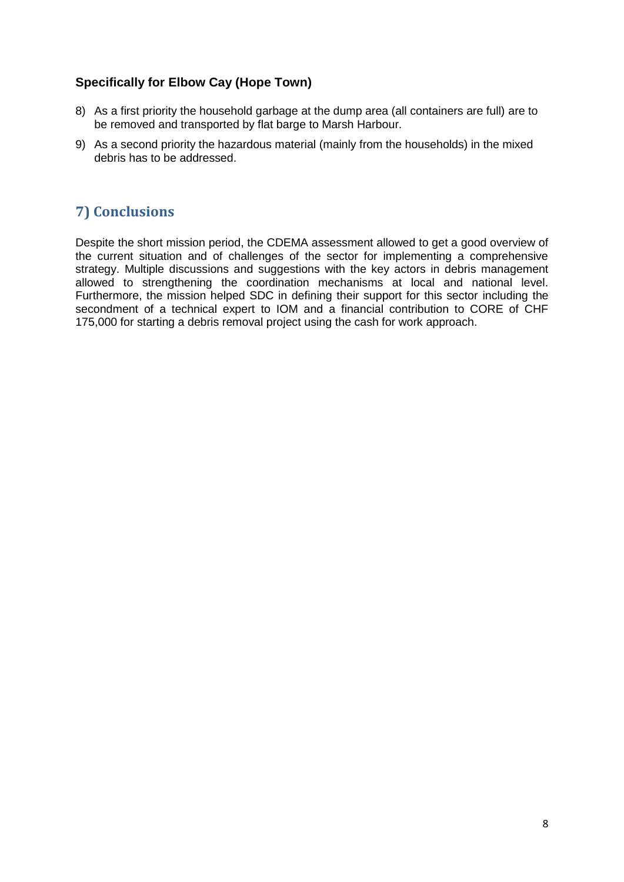### **Specifically for Elbow Cay (Hope Town)**

- 8) As a first priority the household garbage at the dump area (all containers are full) are to be removed and transported by flat barge to Marsh Harbour.
- 9) As a second priority the hazardous material (mainly from the households) in the mixed debris has to be addressed.

## **7) Conclusions**

Despite the short mission period, the CDEMA assessment allowed to get a good overview of the current situation and of challenges of the sector for implementing a comprehensive strategy. Multiple discussions and suggestions with the key actors in debris management allowed to strengthening the coordination mechanisms at local and national level. Furthermore, the mission helped SDC in defining their support for this sector including the secondment of a technical expert to IOM and a financial contribution to CORE of CHF 175,000 for starting a debris removal project using the cash for work approach.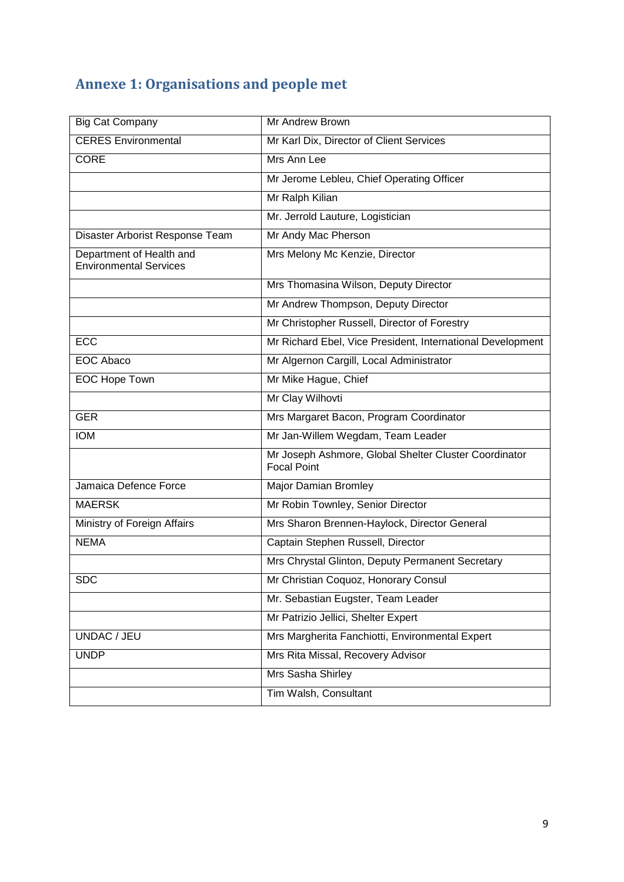# **Annexe 1: Organisations and people met**

| <b>Big Cat Company</b>                                    | Mr Andrew Brown                                                             |
|-----------------------------------------------------------|-----------------------------------------------------------------------------|
| <b>CERES</b> Environmental                                | Mr Karl Dix, Director of Client Services                                    |
| <b>CORE</b>                                               | Mrs Ann Lee                                                                 |
|                                                           | Mr Jerome Lebleu, Chief Operating Officer                                   |
|                                                           | Mr Ralph Kilian                                                             |
|                                                           | Mr. Jerrold Lauture, Logistician                                            |
| Disaster Arborist Response Team                           | Mr Andy Mac Pherson                                                         |
| Department of Health and<br><b>Environmental Services</b> | Mrs Melony Mc Kenzie, Director                                              |
|                                                           | Mrs Thomasina Wilson, Deputy Director                                       |
|                                                           | Mr Andrew Thompson, Deputy Director                                         |
|                                                           | Mr Christopher Russell, Director of Forestry                                |
| <b>ECC</b>                                                | Mr Richard Ebel, Vice President, International Development                  |
| <b>EOC Abaco</b>                                          | Mr Algernon Cargill, Local Administrator                                    |
| <b>EOC Hope Town</b>                                      | Mr Mike Hague, Chief                                                        |
|                                                           | Mr Clay Wilhovti                                                            |
| <b>GER</b>                                                | Mrs Margaret Bacon, Program Coordinator                                     |
| <b>IOM</b>                                                | Mr Jan-Willem Wegdam, Team Leader                                           |
|                                                           | Mr Joseph Ashmore, Global Shelter Cluster Coordinator<br><b>Focal Point</b> |
| Jamaica Defence Force                                     | <b>Major Damian Bromley</b>                                                 |
| <b>MAERSK</b>                                             | Mr Robin Townley, Senior Director                                           |
| Ministry of Foreign Affairs                               | Mrs Sharon Brennen-Haylock, Director General                                |
| <b>NEMA</b>                                               | Captain Stephen Russell, Director                                           |
|                                                           | Mrs Chrystal Glinton, Deputy Permanent Secretary                            |
| <b>SDC</b>                                                | Mr Christian Coquoz, Honorary Consul                                        |
|                                                           | Mr. Sebastian Eugster, Team Leader                                          |
|                                                           | Mr Patrizio Jellici, Shelter Expert                                         |
| UNDAC / JEU                                               | Mrs Margherita Fanchiotti, Environmental Expert                             |
| <b>UNDP</b>                                               | Mrs Rita Missal, Recovery Advisor                                           |
|                                                           | Mrs Sasha Shirley                                                           |
|                                                           | Tim Walsh, Consultant                                                       |